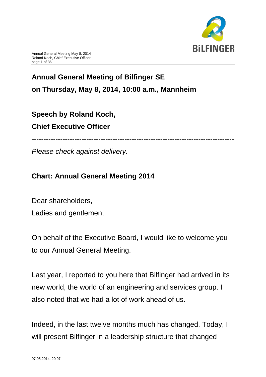

# **Annual General Meeting of Bilfinger SE on Thursday, May 8, 2014, 10:00 a.m., Mannheim**

**Speech by Roland Koch,**

**Chief Executive Officer**

-------------------------------------------------------------------------------------

*Please check against delivery.*

**Chart: Annual General Meeting 2014**

Dear shareholders,

Ladies and gentlemen,

On behalf of the Executive Board, I would like to welcome you to our Annual General Meeting.

Last year, I reported to you here that Bilfinger had arrived in its new world, the world of an engineering and services group. I also noted that we had a lot of work ahead of us.

Indeed, in the last twelve months much has changed. Today, I will present Bilfinger in a leadership structure that changed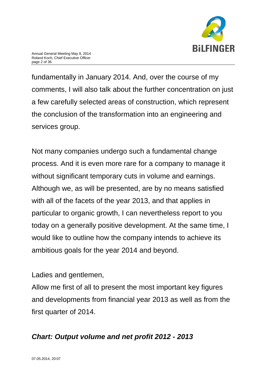

fundamentally in January 2014. And, over the course of my comments, I will also talk about the further concentration on just a few carefully selected areas of construction, which represent the conclusion of the transformation into an engineering and services group.

Not many companies undergo such a fundamental change process. And it is even more rare for a company to manage it without significant temporary cuts in volume and earnings. Although we, as will be presented, are by no means satisfied with all of the facets of the year 2013, and that applies in particular to organic growth, I can nevertheless report to you today on a generally positive development. At the same time, I would like to outline how the company intends to achieve its ambitious goals for the year 2014 and beyond.

Ladies and gentlemen,

Allow me first of all to present the most important key figures and developments from financial year 2013 as well as from the first quarter of 2014.

## *Chart: Output volume and net profit 2012 - 2013*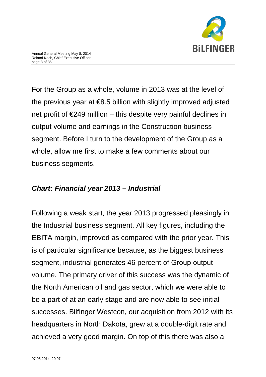

For the Group as a whole, volume in 2013 was at the level of the previous year at €8.5 billion with slightly improved adjusted net profit of  $\epsilon$ 249 million – this despite very painful declines in output volume and earnings in the Construction business segment. Before I turn to the development of the Group as a whole, allow me first to make a few comments about our business segments.

#### *Chart: Financial year 2013 – Industrial*

Following a weak start, the year 2013 progressed pleasingly in the Industrial business segment. All key figures, including the EBITA margin, improved as compared with the prior year. This is of particular significance because, as the biggest business segment, industrial generates 46 percent of Group output volume. The primary driver of this success was the dynamic of the North American oil and gas sector, which we were able to be a part of at an early stage and are now able to see initial successes. Bilfinger Westcon, our acquisition from 2012 with its headquarters in North Dakota, grew at a double-digit rate and achieved a very good margin. On top of this there was also a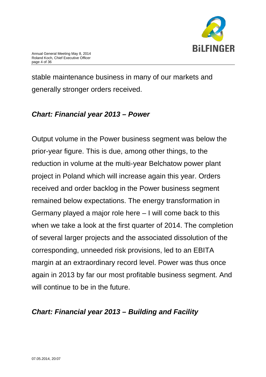

stable maintenance business in many of our markets and generally stronger orders received.

#### *Chart: Financial year 2013 – Power*

Output volume in the Power business segment was below the prior-year figure. This is due, among other things, to the reduction in volume at the multi-year Belchatow power plant project in Poland which will increase again this year. Orders received and order backlog in the Power business segment remained below expectations. The energy transformation in Germany played a major role here – I will come back to this when we take a look at the first quarter of 2014. The completion of several larger projects and the associated dissolution of the corresponding, unneeded risk provisions, led to an EBITA margin at an extraordinary record level. Power was thus once again in 2013 by far our most profitable business segment. And will continue to be in the future.

#### *Chart: Financial year 2013 – Building and Facility*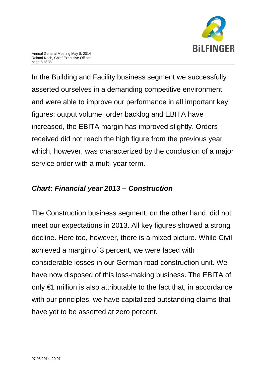

In the Building and Facility business segment we successfully asserted ourselves in a demanding competitive environment and were able to improve our performance in all important key figures: output volume, order backlog and EBITA have increased, the EBITA margin has improved slightly. Orders received did not reach the high figure from the previous year which, however, was characterized by the conclusion of a major service order with a multi-year term.

### *Chart: Financial year 2013 – Construction*

The Construction business segment, on the other hand, did not meet our expectations in 2013. All key figures showed a strong decline. Here too, however, there is a mixed picture. While Civil achieved a margin of 3 percent, we were faced with considerable losses in our German road construction unit. We have now disposed of this loss-making business. The EBITA of only €1 million is also attributable to the fact that, in accordance with our principles, we have capitalized outstanding claims that have yet to be asserted at zero percent.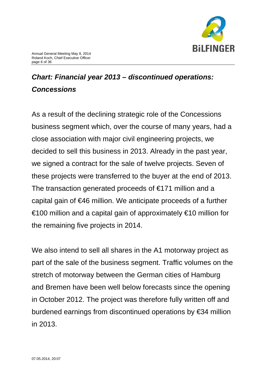

# *Chart: Financial year 2013 – discontinued operations: Concessions*

As a result of the declining strategic role of the Concessions business segment which, over the course of many years, had a close association with major civil engineering projects, we decided to sell this business in 2013. Already in the past year, we signed a contract for the sale of twelve projects. Seven of these projects were transferred to the buyer at the end of 2013. The transaction generated proceeds of €171 million and a capital gain of €46 million. We anticipate proceeds of a further €100 million and a capital gain of approximately €10 million for the remaining five projects in 2014.

We also intend to sell all shares in the A1 motorway project as part of the sale of the business segment. Traffic volumes on the stretch of motorway between the German cities of Hamburg and Bremen have been well below forecasts since the opening in October 2012. The project was therefore fully written off and burdened earnings from discontinued operations by €34 million in 2013.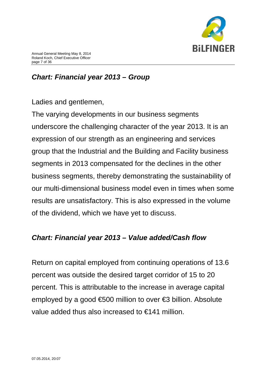

## *Chart: Financial year 2013 – Group*

Ladies and gentlemen,

The varying developments in our business segments underscore the challenging character of the year 2013. It is an expression of our strength as an engineering and services group that the Industrial and the Building and Facility business segments in 2013 compensated for the declines in the other business segments, thereby demonstrating the sustainability of our multi-dimensional business model even in times when some results are unsatisfactory. This is also expressed in the volume of the dividend, which we have yet to discuss.

#### *Chart: Financial year 2013 – Value added/Cash flow*

Return on capital employed from continuing operations of 13.6 percent was outside the desired target corridor of 15 to 20 percent. This is attributable to the increase in average capital employed by a good €500 million to over €3 billion. Absolute value added thus also increased to €141 million.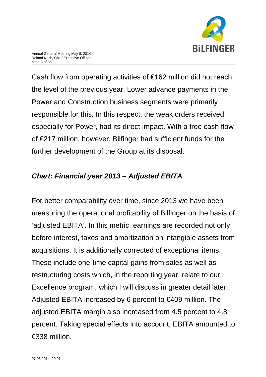

Cash flow from operating activities of €162 million did not reach the level of the previous year. Lower advance payments in the Power and Construction business segments were primarily responsible for this. In this respect, the weak orders received, especially for Power, had its direct impact. With a free cash flow of €217 million, however, Bilfinger had sufficient funds for the further development of the Group at its disposal.

### *Chart: Financial year 2013 – Adjusted EBITA*

For better comparability over time, since 2013 we have been measuring the operational profitability of Bilfinger on the basis of 'adjusted EBITA'. In this metric, earnings are recorded not only before interest, taxes and amortization on intangible assets from acquisitions. It is additionally corrected of exceptional items. These include one-time capital gains from sales as well as restructuring costs which, in the reporting year, relate to our Excellence program, which I will discuss in greater detail later. Adjusted EBITA increased by 6 percent to €409 million. The adjusted EBITA margin also increased from 4.5 percent to 4.8 percent. Taking special effects into account, EBITA amounted to €338 million.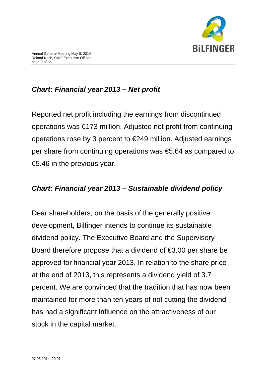

## *Chart: Financial year 2013 – Net profit*

Reported net profit including the earnings from discontinued operations was €173 million. Adjusted net profit from continuing operations rose by 3 percent to €249 million. Adjusted earnings per share from continuing operations was €5.64 as compared to €5.46 in the previous year.

#### *Chart: Financial year 2013 – Sustainable dividend policy*

Dear shareholders, on the basis of the generally positive development, Bilfinger intends to continue its sustainable dividend policy. The Executive Board and the Supervisory Board therefore propose that a dividend of €3.00 per share be approved for financial year 2013. In relation to the share price at the end of 2013, this represents a dividend yield of 3.7 percent. We are convinced that the tradition that has now been maintained for more than ten years of not cutting the dividend has had a significant influence on the attractiveness of our stock in the capital market.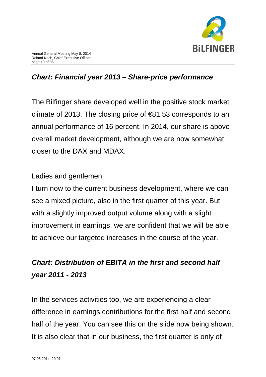

## *Chart: Financial year 2013 – Share-price performance*

The Bilfinger share developed well in the positive stock market climate of 2013. The closing price of €81.53 corresponds to an annual performance of 16 percent. In 2014, our share is above overall market development, although we are now somewhat closer to the DAX and MDAX.

#### Ladies and gentlemen,

I turn now to the current business development, where we can see a mixed picture, also in the first quarter of this year. But with a slightly improved output volume along with a slight improvement in earnings, we are confident that we will be able to achieve our targeted increases in the course of the year.

# *Chart: Distribution of EBITA in the first and second half year 2011 - 2013*

In the services activities too, we are experiencing a clear difference in earnings contributions for the first half and second half of the year. You can see this on the slide now being shown. It is also clear that in our business, the first quarter is only of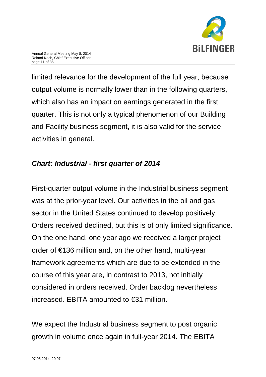

limited relevance for the development of the full year, because output volume is normally lower than in the following quarters, which also has an impact on earnings generated in the first quarter. This is not only a typical phenomenon of our Building and Facility business segment, it is also valid for the service activities in general.

### *Chart: Industrial - first quarter of 2014*

First-quarter output volume in the Industrial business segment was at the prior-year level. Our activities in the oil and gas sector in the United States continued to develop positively. Orders received declined, but this is of only limited significance. On the one hand, one year ago we received a larger project order of €136 million and, on the other hand, multi-year framework agreements which are due to be extended in the course of this year are, in contrast to 2013, not initially considered in orders received. Order backlog nevertheless increased. EBITA amounted to €31 million.

We expect the Industrial business segment to post organic growth in volume once again in full-year 2014. The EBITA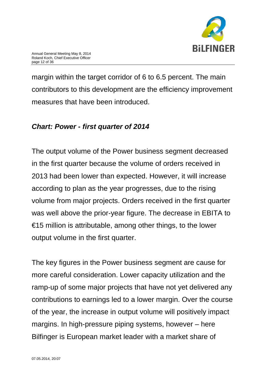

margin within the target corridor of 6 to 6.5 percent. The main contributors to this development are the efficiency improvement measures that have been introduced.

#### *Chart: Power - first quarter of 2014*

The output volume of the Power business segment decreased in the first quarter because the volume of orders received in 2013 had been lower than expected. However, it will increase according to plan as the year progresses, due to the rising volume from major projects. Orders received in the first quarter was well above the prior-year figure. The decrease in EBITA to €15 million is attributable, among other things, to the lower output volume in the first quarter.

The key figures in the Power business segment are cause for more careful consideration. Lower capacity utilization and the ramp-up of some major projects that have not yet delivered any contributions to earnings led to a lower margin. Over the course of the year, the increase in output volume will positively impact margins. In high-pressure piping systems, however – here Bilfinger is European market leader with a market share of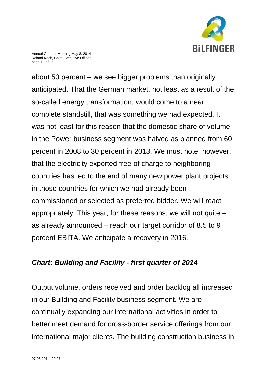

about 50 percent – we see bigger problems than originally anticipated. That the German market, not least as a result of the so-called energy transformation, would come to a near complete standstill, that was something we had expected. It was not least for this reason that the domestic share of volume in the Power business segment was halved as planned from 60 percent in 2008 to 30 percent in 2013. We must note, however, that the electricity exported free of charge to neighboring countries has led to the end of many new power plant projects in those countries for which we had already been commissioned or selected as preferred bidder. We will react appropriately. This year, for these reasons, we will not quite – as already announced – reach our target corridor of 8.5 to 9 percent EBITA. We anticipate a recovery in 2016.

#### *Chart: Building and Facility - first quarter of 2014*

Output volume, orders received and order backlog all increased in our Building and Facility business segment. We are continually expanding our international activities in order to better meet demand for cross-border service offerings from our international major clients. The building construction business in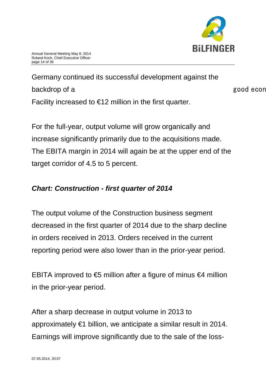

Germany continued its successful development against the backdrop of a good econ Facility increased to  $\epsilon$ 12 million in the first quarter.

For the full-year, output volume will grow organically and increase significantly primarily due to the acquisitions made. The EBITA margin in 2014 will again be at the upper end of the target corridor of 4.5 to 5 percent.

### *Chart: Construction - first quarter of 2014*

The output volume of the Construction business segment decreased in the first quarter of 2014 due to the sharp decline in orders received in 2013. Orders received in the current reporting period were also lower than in the prior-year period.

EBITA improved to  $\epsilon$ 5 million after a figure of minus  $\epsilon$ 4 million in the prior-year period.

After a sharp decrease in output volume in 2013 to approximately €1 billion, we anticipate a similar result in 2014. Earnings will improve significantly due to the sale of the loss-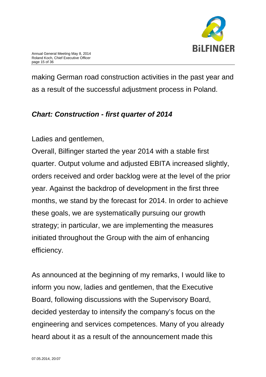

making German road construction activities in the past year and as a result of the successful adjustment process in Poland.

#### *Chart: Construction - first quarter of 2014*

Ladies and gentlemen,

Overall, Bilfinger started the year 2014 with a stable first quarter. Output volume and adjusted EBITA increased slightly, orders received and order backlog were at the level of the prior year. Against the backdrop of development in the first three months, we stand by the forecast for 2014. In order to achieve these goals, we are systematically pursuing our growth strategy; in particular, we are implementing the measures initiated throughout the Group with the aim of enhancing efficiency.

As announced at the beginning of my remarks, I would like to inform you now, ladies and gentlemen, that the Executive Board, following discussions with the Supervisory Board, decided yesterday to intensify the company's focus on the engineering and services competences. Many of you already heard about it as a result of the announcement made this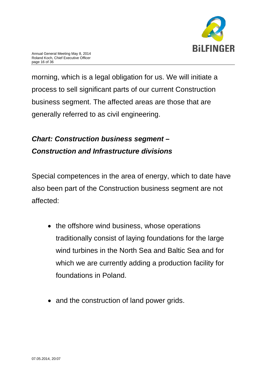

morning, which is a legal obligation for us. We will initiate a process to sell significant parts of our current Construction business segment. The affected areas are those that are generally referred to as civil engineering.

## *Chart: Construction business segment – Construction and Infrastructure divisions*

Special competences in the area of energy, which to date have also been part of the Construction business segment are not affected:

- the offshore wind business, whose operations traditionally consist of laying foundations for the large wind turbines in the North Sea and Baltic Sea and for which we are currently adding a production facility for foundations in Poland.
- and the construction of land power grids.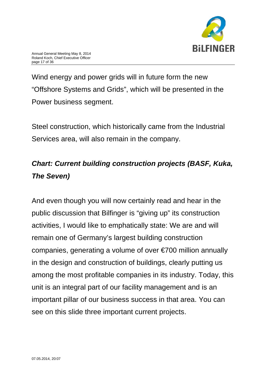

Wind energy and power grids will in future form the new "Offshore Systems and Grids", which will be presented in the Power business segment.

Steel construction, which historically came from the Industrial Services area, will also remain in the company.

# *Chart: Current building construction projects (BASF, Kuka, The Seven)*

And even though you will now certainly read and hear in the public discussion that Bilfinger is "giving up" its construction activities, I would like to emphatically state: We are and will remain one of Germany's largest building construction companies, generating a volume of over €700 million annually in the design and construction of buildings, clearly putting us among the most profitable companies in its industry. Today, this unit is an integral part of our facility management and is an important pillar of our business success in that area. You can see on this slide three important current projects.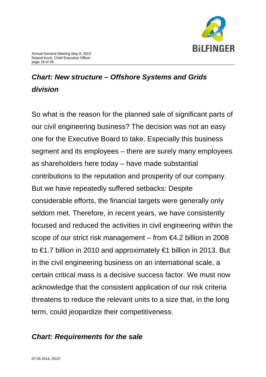

# *Chart: New structure – Offshore Systems and Grids division*

So what is the reason for the planned sale of significant parts of our civil engineering business? The decision was not an easy one for the Executive Board to take. Especially this business segment and its employees – there are surely many employees as shareholders here today – have made substantial contributions to the reputation and prosperity of our company. But we have repeatedly suffered setbacks: Despite considerable efforts, the financial targets were generally only seldom met. Therefore, in recent years, we have consistently focused and reduced the activities in civil engineering within the scope of our strict risk management – from €4.2 billion in 2008 to €1.7 billion in 2010 and approximately €1 billion in 2013. But in the civil engineering business on an international scale, a certain critical mass is a decisive success factor. We must now acknowledge that the consistent application of our risk criteria threatens to reduce the relevant units to a size that, in the long term, could jeopardize their competitiveness.

#### *Chart: Requirements for the sale*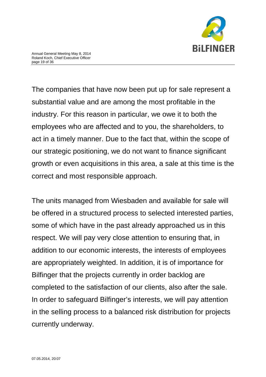

The companies that have now been put up for sale represent a substantial value and are among the most profitable in the industry. For this reason in particular, we owe it to both the employees who are affected and to you, the shareholders, to act in a timely manner. Due to the fact that, within the scope of our strategic positioning, we do not want to finance significant growth or even acquisitions in this area, a sale at this time is the correct and most responsible approach.

The units managed from Wiesbaden and available for sale will be offered in a structured process to selected interested parties, some of which have in the past already approached us in this respect. We will pay very close attention to ensuring that, in addition to our economic interests, the interests of employees are appropriately weighted. In addition, it is of importance for Bilfinger that the projects currently in order backlog are completed to the satisfaction of our clients, also after the sale. In order to safeguard Bilfinger's interests, we will pay attention in the selling process to a balanced risk distribution for projects currently underway.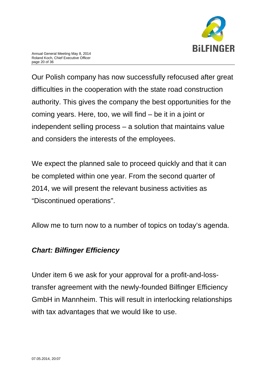

Our Polish company has now successfully refocused after great difficulties in the cooperation with the state road construction authority. This gives the company the best opportunities for the coming years. Here, too, we will find – be it in a joint or independent selling process – a solution that maintains value and considers the interests of the employees.

We expect the planned sale to proceed quickly and that it can be completed within one year. From the second quarter of 2014, we will present the relevant business activities as "Discontinued operations".

Allow me to turn now to a number of topics on today's agenda.

#### *Chart: Bilfinger Efficiency*

Under item 6 we ask for your approval for a profit-and-losstransfer agreement with the newly-founded Bilfinger Efficiency GmbH in Mannheim. This will result in interlocking relationships with tax advantages that we would like to use.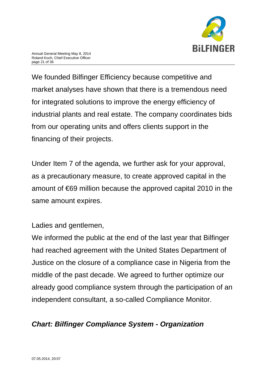

We founded Bilfinger Efficiency because competitive and market analyses have shown that there is a tremendous need for integrated solutions to improve the energy efficiency of industrial plants and real estate. The company coordinates bids from our operating units and offers clients support in the financing of their projects.

Under Item 7 of the agenda, we further ask for your approval, as a precautionary measure, to create approved capital in the amount of €69 million because the approved capital 2010 in the same amount expires.

Ladies and gentlemen,

We informed the public at the end of the last year that Bilfinger had reached agreement with the United States Department of Justice on the closure of a compliance case in Nigeria from the middle of the past decade. We agreed to further optimize our already good compliance system through the participation of an independent consultant, a so-called Compliance Monitor.

## *Chart: Bilfinger Compliance System - Organization*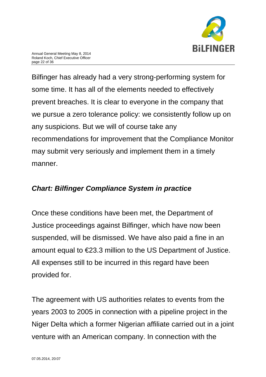

Bilfinger has already had a very strong-performing system for some time. It has all of the elements needed to effectively prevent breaches. It is clear to everyone in the company that we pursue a zero tolerance policy: we consistently follow up on any suspicions. But we will of course take any recommendations for improvement that the Compliance Monitor may submit very seriously and implement them in a timely manner.

## *Chart: Bilfinger Compliance System in practice*

Once these conditions have been met, the Department of Justice proceedings against Bilfinger, which have now been suspended, will be dismissed. We have also paid a fine in an amount equal to €23.3 million to the US Department of Justice. All expenses still to be incurred in this regard have been provided for.

The agreement with US authorities relates to events from the years 2003 to 2005 in connection with a pipeline project in the Niger Delta which a former Nigerian affiliate carried out in a joint venture with an American company. In connection with the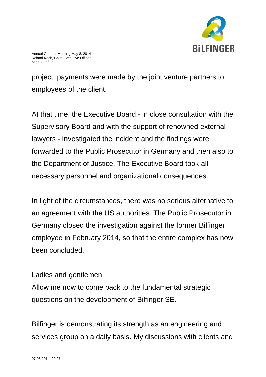

project, payments were made by the joint venture partners to employees of the client.

At that time, the Executive Board - in close consultation with the Supervisory Board and with the support of renowned external lawyers - investigated the incident and the findings were forwarded to the Public Prosecutor in Germany and then also to the Department of Justice. The Executive Board took all necessary personnel and organizational consequences.

In light of the circumstances, there was no serious alternative to an agreement with the US authorities. The Public Prosecutor in Germany closed the investigation against the former Bilfinger employee in February 2014, so that the entire complex has now been concluded.

Ladies and gentlemen,

Allow me now to come back to the fundamental strategic questions on the development of Bilfinger SE.

Bilfinger is demonstrating its strength as an engineering and services group on a daily basis. My discussions with clients and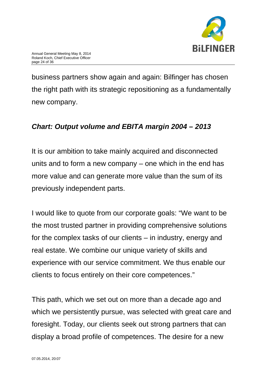

business partners show again and again: Bilfinger has chosen the right path with its strategic repositioning as a fundamentally new company.

### *Chart: Output volume and EBITA margin 2004 – 2013*

It is our ambition to take mainly acquired and disconnected units and to form a new company – one which in the end has more value and can generate more value than the sum of its previously independent parts.

I would like to quote from our corporate goals: "We want to be the most trusted partner in providing comprehensive solutions for the complex tasks of our clients – in industry, energy and real estate. We combine our unique variety of skills and experience with our service commitment. We thus enable our clients to focus entirely on their core competences."

This path, which we set out on more than a decade ago and which we persistently pursue, was selected with great care and foresight. Today, our clients seek out strong partners that can display a broad profile of competences. The desire for a new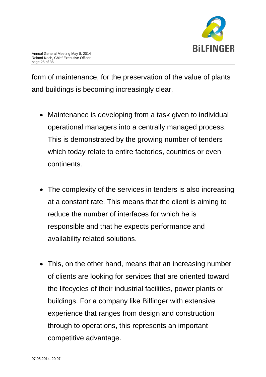

form of maintenance, for the preservation of the value of plants and buildings is becoming increasingly clear.

- Maintenance is developing from a task given to individual operational managers into a centrally managed process. This is demonstrated by the growing number of tenders which today relate to entire factories, countries or even continents.
- The complexity of the services in tenders is also increasing at a constant rate. This means that the client is aiming to reduce the number of interfaces for which he is responsible and that he expects performance and availability related solutions.
- This, on the other hand, means that an increasing number of clients are looking for services that are oriented toward the lifecycles of their industrial facilities, power plants or buildings. For a company like Bilfinger with extensive experience that ranges from design and construction through to operations, this represents an important competitive advantage.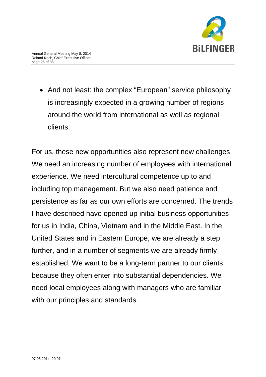

• And not least: the complex "European" service philosophy is increasingly expected in a growing number of regions around the world from international as well as regional clients.

For us, these new opportunities also represent new challenges. We need an increasing number of employees with international experience. We need intercultural competence up to and including top management. But we also need patience and persistence as far as our own efforts are concerned. The trends I have described have opened up initial business opportunities for us in India, China, Vietnam and in the Middle East. In the United States and in Eastern Europe, we are already a step further, and in a number of segments we are already firmly established. We want to be a long-term partner to our clients, because they often enter into substantial dependencies. We need local employees along with managers who are familiar with our principles and standards.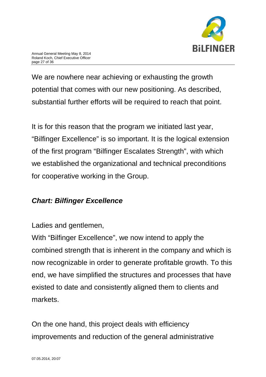

We are nowhere near achieving or exhausting the growth potential that comes with our new positioning. As described, substantial further efforts will be required to reach that point.

It is for this reason that the program we initiated last year, "Bilfinger Excellence" is so important. It is the logical extension of the first program "Bilfinger Escalates Strength", with which we established the organizational and technical preconditions for cooperative working in the Group.

## *Chart: Bilfinger Excellence*

#### Ladies and gentlemen,

With "Bilfinger Excellence", we now intend to apply the combined strength that is inherent in the company and which is now recognizable in order to generate profitable growth. To this end, we have simplified the structures and processes that have existed to date and consistently aligned them to clients and markets.

On the one hand, this project deals with efficiency improvements and reduction of the general administrative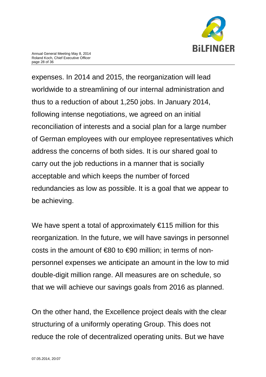

expenses. In 2014 and 2015, the reorganization will lead worldwide to a streamlining of our internal administration and thus to a reduction of about 1,250 jobs. In January 2014, following intense negotiations, we agreed on an initial reconciliation of interests and a social plan for a large number of German employees with our employee representatives which address the concerns of both sides. It is our shared goal to carry out the job reductions in a manner that is socially acceptable and which keeps the number of forced redundancies as low as possible. It is a goal that we appear to be achieving.

We have spent a total of approximately  $\epsilon$ 115 million for this reorganization. In the future, we will have savings in personnel costs in the amount of €80 to €90 million; in terms of nonpersonnel expenses we anticipate an amount in the low to mid double-digit million range. All measures are on schedule, so that we will achieve our savings goals from 2016 as planned.

On the other hand, the Excellence project deals with the clear structuring of a uniformly operating Group. This does not reduce the role of decentralized operating units. But we have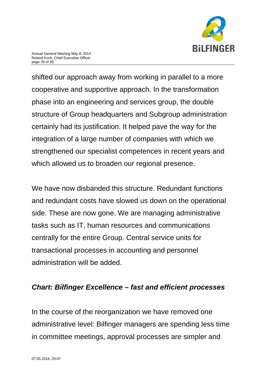

shifted our approach away from working in parallel to a more cooperative and supportive approach. In the transformation phase into an engineering and services group, the double structure of Group headquarters and Subgroup administration certainly had its justification. It helped pave the way for the integration of a large number of companies with which we strengthened our specialist competences in recent years and which allowed us to broaden our regional presence.

We have now disbanded this structure. Redundant functions and redundant costs have slowed us down on the operational side. These are now gone. We are managing administrative tasks such as IT, human resources and communications centrally for the entire Group. Central service units for transactional processes in accounting and personnel administration will be added.

#### *Chart: Bilfinger Excellence – fast and efficient processes*

In the course of the reorganization we have removed one administrative level: Bilfinger managers are spending less time in committee meetings, approval processes are simpler and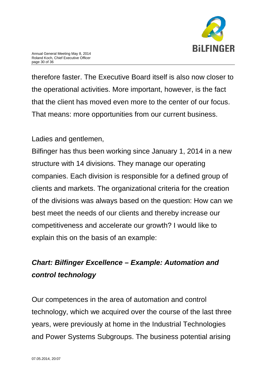

therefore faster. The Executive Board itself is also now closer to the operational activities. More important, however, is the fact that the client has moved even more to the center of our focus. That means: more opportunities from our current business.

Ladies and gentlemen,

Bilfinger has thus been working since January 1, 2014 in a new structure with 14 divisions. They manage our operating companies. Each division is responsible for a defined group of clients and markets. The organizational criteria for the creation of the divisions was always based on the question: How can we best meet the needs of our clients and thereby increase our competitiveness and accelerate our growth? I would like to explain this on the basis of an example:

# *Chart: Bilfinger Excellence – Example: Automation and control technology*

Our competences in the area of automation and control technology, which we acquired over the course of the last three years, were previously at home in the Industrial Technologies and Power Systems Subgroups. The business potential arising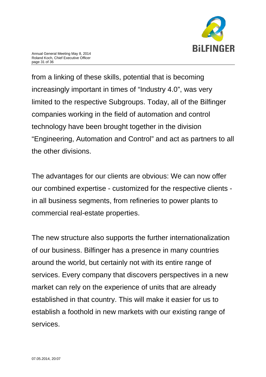

from a linking of these skills, potential that is becoming increasingly important in times of "Industry 4.0", was very limited to the respective Subgroups. Today, all of the Bilfinger companies working in the field of automation and control technology have been brought together in the division "Engineering, Automation and Control" and act as partners to all the other divisions.

The advantages for our clients are obvious: We can now offer our combined expertise - customized for the respective clients in all business segments, from refineries to power plants to commercial real-estate properties.

The new structure also supports the further internationalization of our business. Bilfinger has a presence in many countries around the world, but certainly not with its entire range of services. Every company that discovers perspectives in a new market can rely on the experience of units that are already established in that country. This will make it easier for us to establish a foothold in new markets with our existing range of services.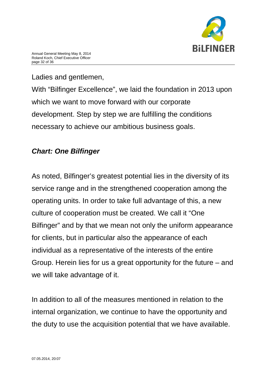

Ladies and gentlemen, With "Bilfinger Excellence", we laid the foundation in 2013 upon which we want to move forward with our corporate development. Step by step we are fulfilling the conditions necessary to achieve our ambitious business goals.

### *Chart: One Bilfinger*

As noted, Bilfinger's greatest potential lies in the diversity of its service range and in the strengthened cooperation among the operating units. In order to take full advantage of this, a new culture of cooperation must be created. We call it "One Bilfinger" and by that we mean not only the uniform appearance for clients, but in particular also the appearance of each individual as a representative of the interests of the entire Group. Herein lies for us a great opportunity for the future – and we will take advantage of it.

In addition to all of the measures mentioned in relation to the internal organization, we continue to have the opportunity and the duty to use the acquisition potential that we have available.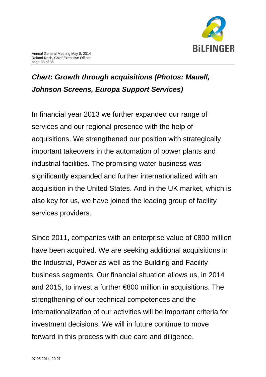

# *Chart: Growth through acquisitions (Photos: Mauell, Johnson Screens, Europa Support Services)*

In financial year 2013 we further expanded our range of services and our regional presence with the help of acquisitions. We strengthened our position with strategically important takeovers in the automation of power plants and industrial facilities. The promising water business was significantly expanded and further internationalized with an acquisition in the United States. And in the UK market, which is also key for us, we have joined the leading group of facility services providers.

Since 2011, companies with an enterprise value of €800 million have been acquired. We are seeking additional acquisitions in the Industrial, Power as well as the Building and Facility business segments. Our financial situation allows us, in 2014 and 2015, to invest a further €800 million in acquisitions. The strengthening of our technical competences and the internationalization of our activities will be important criteria for investment decisions. We will in future continue to move forward in this process with due care and diligence.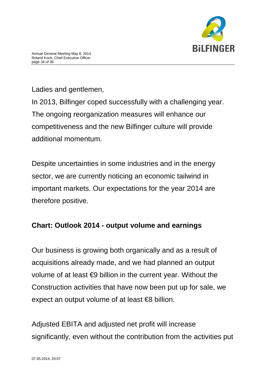

Ladies and gentlemen,

In 2013, Bilfinger coped successfully with a challenging year. The ongoing reorganization measures will enhance our competitiveness and the new Bilfinger culture will provide additional momentum.

Despite uncertainties in some industries and in the energy sector, we are currently noticing an economic tailwind in important markets. Our expectations for the year 2014 are therefore positive.

## **Chart: Outlook 2014 - output volume and earnings**

Our business is growing both organically and as a result of acquisitions already made, and we had planned an output volume of at least  $\epsilon$ 9 billion in the current year. Without the Construction activities that have now been put up for sale, we expect an output volume of at least  $\epsilon$ 8 billion.

Adjusted EBITA and adjusted net profit will increase significantly, even without the contribution from the activities put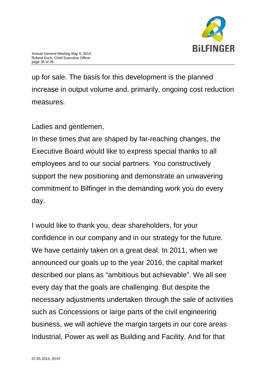

up for sale. The basis for this development is the planned increase in output volume and, primarily, ongoing cost reduction measures.

Ladies and gentlemen,

In these times that are shaped by far-reaching changes, the Executive Board would like to express special thanks to all employees and to our social partners. You constructively support the new positioning and demonstrate an unwavering commitment to Bilfinger in the demanding work you do every day.

I would like to thank you, dear shareholders, for your confidence in our company and in our strategy for the future. We have certainly taken on a great deal. In 2011, when we announced our goals up to the year 2016, the capital market described our plans as "ambitious but achievable". We all see every day that the goals are challenging. But despite the necessary adjustments undertaken through the sale of activities such as Concessions or large parts of the civil engineering business, we will achieve the margin targets in our core areas Industrial, Power as well as Building and Facility. And for that